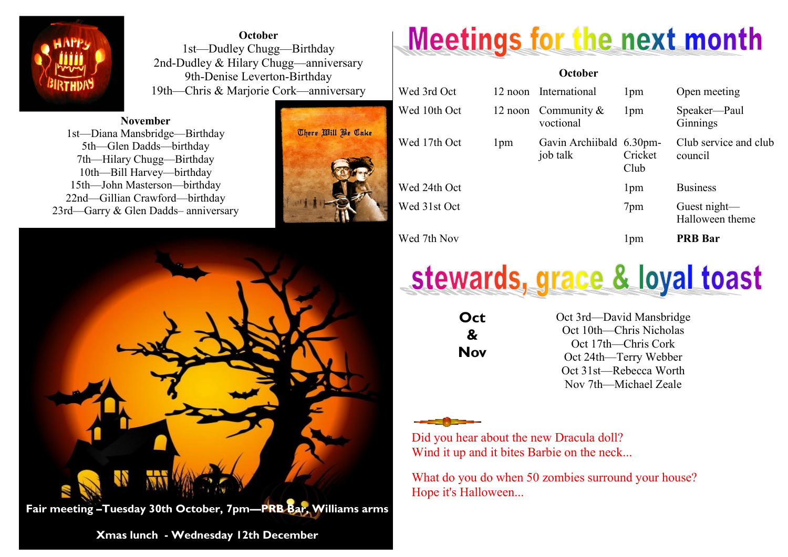

**October** 1st—Dudley Chugg—Birthday 2nd-Dudley & Hilary Chugg—anniversary 9th-Denise Leverton-Birthday 19th—Chris & Marjorie Cork—anniversary

**November** 1st—Diana Mansbridge—Birthday 5th—Glen Dadds—birthday 7th—Hilary Chugg—Birthday 10th—Bill Harvey—birthday 15th—John Masterson—birthday 22nd—Gillian Crawford—birthday 23rd—Garry & Glen Dadds– anniversary





**Xmas lunch - Wednesday 12th December** 

## **Meetings for the next month**

## **October** Wed 3rd Oct 12 noon International 1pm Open meeting Wed 10th Oct 12 noon Community & voctional 1pm Speaker—Paul Ginnings Wed 17th Oct 1pm Gavin Archiibald 6.30pmjob talk Cricket Club Club service and club council Wed 24th Oct 1pm Business Wed 31st Oct 7pm Guest night— Halloween theme Wed 7th Nov 1pm **PRB Bar**



**Oct & Nov** Oct 3rd—David Mansbridge Oct 10th—Chris Nicholas Oct 17th—Chris Cork Oct 24th—Terry Webber Oct 31st—Rebecca Worth Nov 7th—Michael Zeale

Did you hear about the new Dracula doll? Wind it up and it bites Barbie on the neck...

What do you do when 50 zombies surround your house? Hope it's Halloween...